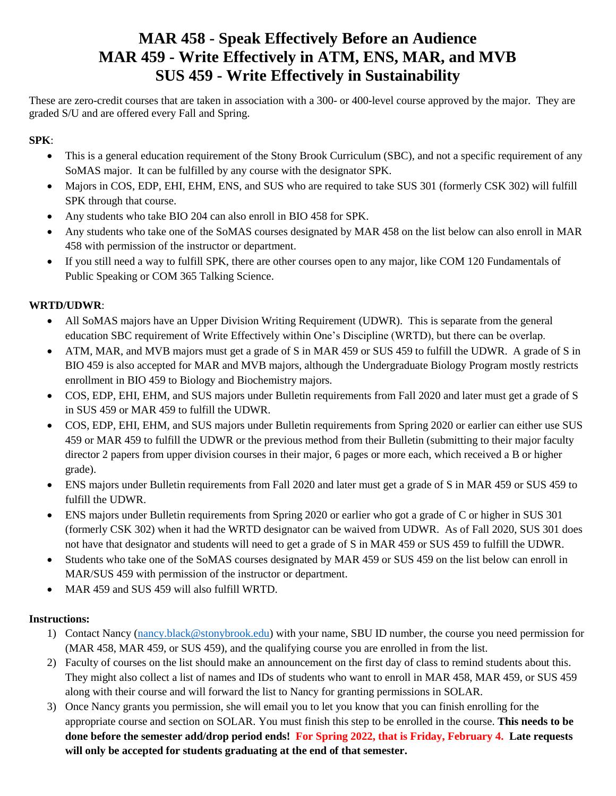## **MAR 458 - Speak Effectively Before an Audience MAR 459 - Write Effectively in ATM, ENS, MAR, and MVB SUS 459 - Write Effectively in Sustainability**

These are zero-credit courses that are taken in association with a 300- or 400-level course approved by the major. They are graded S/U and are offered every Fall and Spring.

## **SPK**:

- This is a general education requirement of the Stony Brook Curriculum (SBC), and not a specific requirement of any SoMAS major. It can be fulfilled by any course with the designator SPK.
- Majors in COS, EDP, EHI, EHM, ENS, and SUS who are required to take SUS 301 (formerly CSK 302) will fulfill SPK through that course.
- Any students who take BIO 204 can also enroll in BIO 458 for SPK.
- Any students who take one of the SoMAS courses designated by MAR 458 on the list below can also enroll in MAR 458 with permission of the instructor or department.
- If you still need a way to fulfill SPK, there are other courses open to any major, like COM 120 Fundamentals of Public Speaking or COM 365 Talking Science.

## **WRTD/UDWR**:

- All SoMAS majors have an Upper Division Writing Requirement (UDWR). This is separate from the general education SBC requirement of Write Effectively within One's Discipline (WRTD), but there can be overlap.
- ATM, MAR, and MVB majors must get a grade of S in MAR 459 or SUS 459 to fulfill the UDWR. A grade of S in BIO 459 is also accepted for MAR and MVB majors, although the Undergraduate Biology Program mostly restricts enrollment in BIO 459 to Biology and Biochemistry majors.
- COS, EDP, EHI, EHM, and SUS majors under Bulletin requirements from Fall 2020 and later must get a grade of S in SUS 459 or MAR 459 to fulfill the UDWR.
- COS, EDP, EHI, EHM, and SUS majors under Bulletin requirements from Spring 2020 or earlier can either use SUS 459 or MAR 459 to fulfill the UDWR or the previous method from their Bulletin (submitting to their major faculty director 2 papers from upper division courses in their major, 6 pages or more each, which received a B or higher grade).
- ENS majors under Bulletin requirements from Fall 2020 and later must get a grade of S in MAR 459 or SUS 459 to fulfill the UDWR.
- ENS majors under Bulletin requirements from Spring 2020 or earlier who got a grade of C or higher in SUS 301 (formerly CSK 302) when it had the WRTD designator can be waived from UDWR. As of Fall 2020, SUS 301 does not have that designator and students will need to get a grade of S in MAR 459 or SUS 459 to fulfill the UDWR.
- Students who take one of the SoMAS courses designated by MAR 459 or SUS 459 on the list below can enroll in MAR/SUS 459 with permission of the instructor or department.
- MAR 459 and SUS 459 will also fulfill WRTD.

## **Instructions:**

- 1) Contact Nancy [\(nancy.black@stonybrook.edu\)](mailto:nancy.black@stonybrook.edu) with your name, SBU ID number, the course you need permission for (MAR 458, MAR 459, or SUS 459), and the qualifying course you are enrolled in from the list.
- 2) Faculty of courses on the list should make an announcement on the first day of class to remind students about this. They might also collect a list of names and IDs of students who want to enroll in MAR 458, MAR 459, or SUS 459 along with their course and will forward the list to Nancy for granting permissions in SOLAR.
- 3) Once Nancy grants you permission, she will email you to let you know that you can finish enrolling for the appropriate course and section on SOLAR. You must finish this step to be enrolled in the course. **This needs to be done before the semester add/drop period ends! For Spring 2022, that is Friday, February 4. Late requests will only be accepted for students graduating at the end of that semester.**